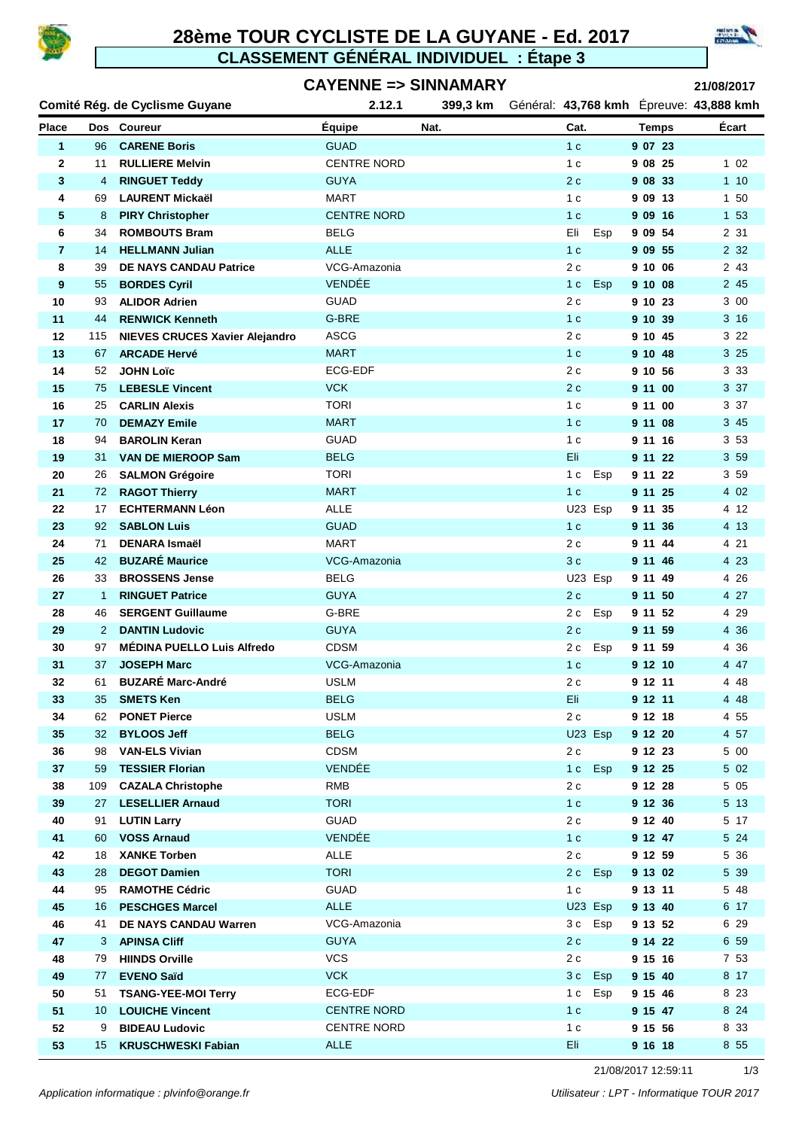

### **28ème TOUR CYCLISTE DE LA GUYANE - Ed. 2017 CLASSEMENT GÉNÉRAL INDIVIDUEL : Étape 3**



#### **CAYENNE => SINNAMARY**

**21/08/2017**

|              |                 | Comité Rég. de Cyclisme Guyane                  | 2.12.1                     | 399,3 km | Général: 43,768 kmh Epreuve: 43,888 kmh |                    |               |
|--------------|-----------------|-------------------------------------------------|----------------------------|----------|-----------------------------------------|--------------------|---------------|
| <b>Place</b> |                 | Dos Coureur                                     | <b>Equipe</b>              | Nat.     | Cat.                                    | <b>Temps</b>       | Ecart         |
| 1            | 96              | <b>CARENE Boris</b>                             | <b>GUAD</b>                |          | 1 <sub>c</sub>                          | 9 07 23            |               |
| 2            | 11              | <b>RULLIERE Melvin</b>                          | <b>CENTRE NORD</b>         |          | 1 <sub>c</sub>                          | 9 08 25            | 102           |
| 3            | 4               | <b>RINGUET Teddy</b>                            | <b>GUYA</b>                |          | 2c                                      | 9 08 33            | 110           |
| 4            | 69              | <b>LAURENT Mickaël</b>                          | <b>MART</b>                |          | 1 <sub>c</sub>                          | 9 09 13            | 1 50          |
| 5            | 8               | <b>PIRY Christopher</b>                         | <b>CENTRE NORD</b>         |          | 1 <sub>c</sub>                          | 9 09 16            | 1 53          |
| 6            | 34              | <b>ROMBOUTS Bram</b>                            | <b>BELG</b>                |          | Eli<br>Esp                              | 9 09 54            | 2 31          |
| 7            | 14              | <b>HELLMANN Julian</b>                          | <b>ALLE</b>                |          | 1 <sub>c</sub>                          | 9 09 55            | 2 3 2         |
| 8            | 39              | <b>DE NAYS CANDAU Patrice</b>                   | VCG-Amazonia               |          | 2c                                      | 9 10 06            | 2 43          |
| 9            | 55              | <b>BORDES Cyril</b>                             | VENDÉE                     |          | Esp<br>1 <sub>c</sub>                   | 9 10 08            | 2 45          |
| 10           | 93              | <b>ALIDOR Adrien</b>                            | <b>GUAD</b>                |          | 2c                                      | 9 10 23            | 3 00          |
| 11           | 44              | <b>RENWICK Kenneth</b>                          | G-BRE                      |          | 1 <sub>c</sub>                          | 9 10 39            | 3 16          |
| 12           | 115             | <b>NIEVES CRUCES Xavier Alejandro</b>           | <b>ASCG</b>                |          | 2c                                      | 9 10 45            | 3 2 2         |
| 13           | 67              | <b>ARCADE Hervé</b>                             | <b>MART</b>                |          | 1 <sub>c</sub>                          | 9 10 48            | 3 25          |
| 14           | 52              | <b>JOHN Loïc</b>                                | <b>ECG-EDF</b>             |          | 2c                                      | 9<br>10 56         | 3 3 3         |
| 15           | 75              | <b>LEBESLE Vincent</b>                          | <b>VCK</b>                 |          | 2c                                      | 9 11 00            | 3 37          |
| 16           | 25              | <b>CARLIN Alexis</b>                            | <b>TORI</b>                |          | 1 <sub>c</sub>                          | 9 11 00            | 3 37          |
| 17           | 70              | <b>DEMAZY Emile</b>                             | <b>MART</b>                |          | 1 <sub>c</sub>                          | 9 11 08            | 3 45          |
| 18           | 94              | <b>BAROLIN Keran</b>                            | <b>GUAD</b><br><b>BELG</b> |          | 1 <sub>c</sub>                          | 9 11 16            | 3 5 3         |
| 19<br>20     | 31              | <b>VAN DE MIEROOP Sam</b>                       | <b>TORI</b>                |          | Eli<br>Esp                              | 9 11 22<br>9 11 22 | 3 59<br>3 5 9 |
| 21           | 26<br>72        | <b>SALMON Grégoire</b><br><b>RAGOT Thierry</b>  | <b>MART</b>                |          | 1 c<br>1 <sub>c</sub>                   | 9 11 25            | 4 0 2         |
| 22           | 17              | <b>ECHTERMANN Léon</b>                          | <b>ALLE</b>                |          | U23 Esp                                 | 9 11 35            | 4 12          |
| 23           | 92              | <b>SABLON Luis</b>                              | <b>GUAD</b>                |          | 1 <sub>c</sub>                          | 9 11 36            | 4 13          |
| 24           | 71              | <b>DENARA Ismaël</b>                            | <b>MART</b>                |          | 2c                                      | 9 11 44            | 4 21          |
| 25           | 42              | <b>BUZARÉ Maurice</b>                           | VCG-Amazonia               |          | 3c                                      | 9 11 46            | 4 2 3         |
| 26           | 33              | <b>BROSSENS Jense</b>                           | <b>BELG</b>                |          | U23 Esp                                 | 9 11 49            | 4 2 6         |
| 27           | $\mathbf{1}$    | <b>RINGUET Patrice</b>                          | <b>GUYA</b>                |          | 2c                                      | 9 11 50            | 4 27          |
| 28           | 46              | <b>SERGENT Guillaume</b>                        | G-BRE                      |          | 2c<br>Esp                               | 9 11 52            | 4 2 9         |
| 29           | $\overline{2}$  | <b>DANTIN Ludovic</b>                           | <b>GUYA</b>                |          | 2c                                      | 9 11 59            | 4 3 6         |
| 30           | 97              | <b>MÉDINA PUELLO Luis Alfredo</b>               | <b>CDSM</b>                |          | Esp<br>2 c                              | 9 11 59            | 4 36          |
| 31           | 37              | <b>JOSEPH Marc</b>                              | VCG-Amazonia               |          | 1 <sub>c</sub>                          | 9 12 10            | 4 47          |
| 32           | 61              | <b>BUZARÉ Marc-André</b>                        | <b>USLM</b>                |          | 2c                                      | 9 12 11            | 4 48          |
| 33           | 35              | <b>SMETS Ken</b>                                | <b>BELG</b>                |          | Eli                                     | 9 12 11            | 4 4 8         |
| 34           | 62              | <b>PONET Pierce</b>                             | <b>USLM</b>                |          | 2c                                      | 9 12 18            | 4 5 5         |
| 35           | 32 <sup>2</sup> | <b>BYLOOS Jeff</b>                              | <b>BELG</b>                |          | U23 Esp                                 | 9 12 20            | 4 57          |
| 36           | 98              | <b>VAN-ELS Vivian</b>                           | <b>CDSM</b>                |          | 2c                                      | 9 12 23            | 5 00          |
| 37           | 59              | <b>TESSIER Florian</b>                          | VENDÉE                     |          | Esp<br>1 <sub>c</sub>                   | 9 12 25            | 5 0 2         |
| 38           | 109             | <b>CAZALA Christophe</b>                        | <b>RMB</b>                 |          | 2c                                      | 9 12 28            | 5 0 5         |
| 39           | 27              | <b>LESELLIER Arnaud</b>                         | <b>TORI</b>                |          | 1 <sub>c</sub>                          | 9 12 36            | 5 13          |
| 40           | 91              | <b>LUTIN Larry</b>                              | <b>GUAD</b>                |          | 2 c                                     | 9 12 40            | 5 17          |
| 41           | 60              | <b>VOSS Arnaud</b>                              | VENDÉE                     |          | 1 <sub>c</sub>                          | 9 12 47            | 5 24          |
| 42           | 18              | <b>XANKE Torben</b>                             | ALLE                       |          | 2c                                      | 9 12 59            | 5 36          |
| 43           | 28              | <b>DEGOT Damien</b>                             | <b>TORI</b>                |          | 2 c Esp                                 | 9 13 02            | 5 39          |
| 44           | 95              | <b>RAMOTHE Cédric</b>                           | GUAD                       |          | 1 <sub>c</sub>                          | 9 13 11            | 5 48          |
| 45           | 16              | <b>PESCHGES Marcel</b>                          | <b>ALLE</b>                |          | U23 Esp                                 | 9 13 40            | 6 17          |
| 46           | 41              | DE NAYS CANDAU Warren                           | VCG-Amazonia               |          | 3c Esp                                  | 9 13 52            | 6 29          |
| 47           | З               | <b>APINSA Cliff</b>                             | <b>GUYA</b>                |          | 2 c                                     | 9 14 22            | 6 59          |
| 48           | 79              | <b>HIINDS Orville</b>                           | <b>VCS</b><br><b>VCK</b>   |          | 2c                                      | 9 15 16            | 7 53          |
| 49<br>50     | 77<br>51        | <b>EVENO Saïd</b><br><b>TSANG-YEE-MOI Terry</b> | ECG-EDF                    |          | 3c Esp<br>Esp<br>1 c                    | 9 15 40<br>9 15 46 | 8 17<br>8 2 3 |
| 51           | 10              | <b>LOUICHE Vincent</b>                          | <b>CENTRE NORD</b>         |          | 1 <sub>c</sub>                          | 9 15 47            | 8 2 4         |
| 52           | 9               | <b>BIDEAU Ludovic</b>                           | <b>CENTRE NORD</b>         |          | 1 <sub>c</sub>                          | 9 15 56            | 8 3 3         |
| 53           | 15              | <b>KRUSCHWESKI Fabian</b>                       | <b>ALLE</b>                |          | Eli                                     | 9 16 18            | 8 5 5         |

21/08/2017 12:59:11 1/3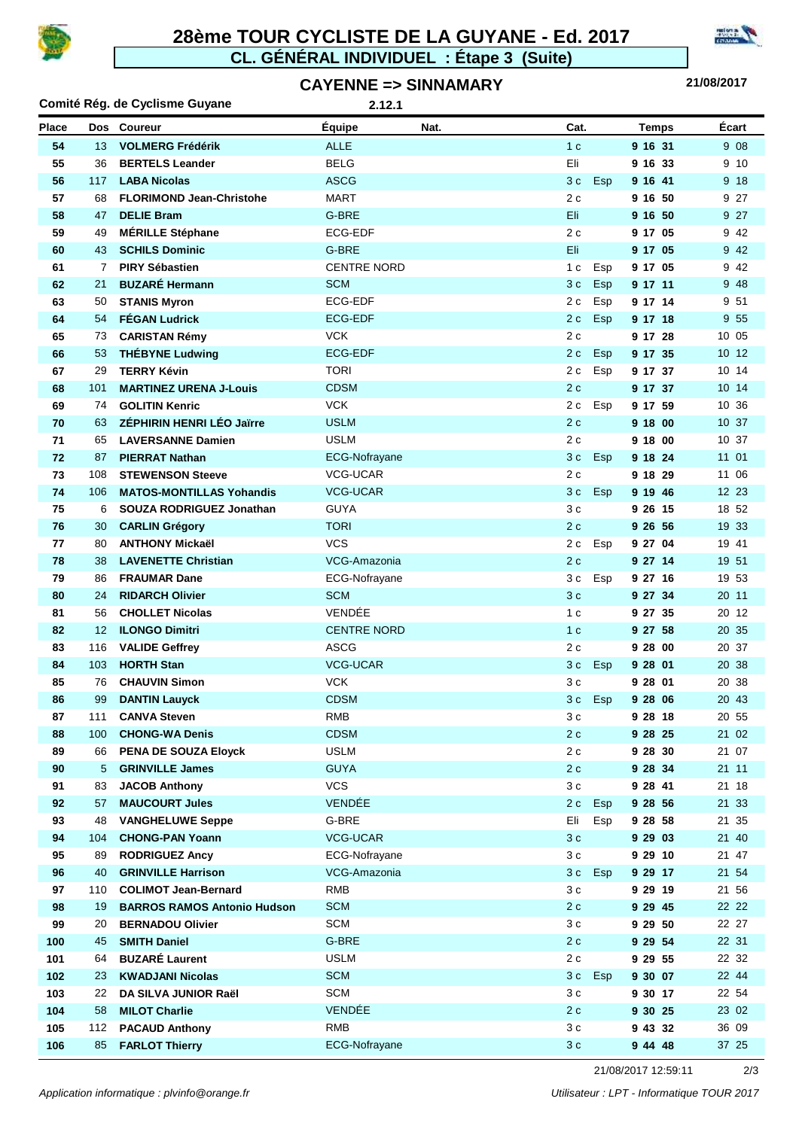

#### **CL. GÉNÉRAL INDIVIDUEL : Étape 3 (Suite) 28ème TOUR CYCLISTE DE LA GUYANE - Ed. 2017**





| Comité Rég. de Cyclisme Guyane<br>2.12.1 |                   |                                                       |                            |      |                   |                    |                |
|------------------------------------------|-------------------|-------------------------------------------------------|----------------------------|------|-------------------|--------------------|----------------|
| <b>Place</b>                             |                   | Dos Coureur                                           | Equipe                     | Nat. | Cat.              | <b>Temps</b>       | Écart          |
| 54                                       | 13                | <b>VOLMERG Frédérik</b>                               | <b>ALLE</b>                |      | 1 <sub>c</sub>    | 9 16 31            | 9 0 8          |
| 55                                       | 36                | <b>BERTELS Leander</b>                                | <b>BELG</b>                |      | Eli               | 9 16 33            | 9 10           |
| 56                                       | 117               | <b>LABA Nicolas</b>                                   | <b>ASCG</b>                |      | Esp<br>3 c        | 9 16 41            | 9 18           |
| 57                                       | 68                | <b>FLORIMOND Jean-Christohe</b>                       | <b>MART</b>                |      | 2c                | 9 16 50            | 9 27           |
| 58                                       | 47                | <b>DELIE Bram</b>                                     | G-BRE                      |      | Eli.              | 9 16 50            | 9 27           |
| 59                                       | 49                | <b>MÉRILLE Stéphane</b>                               | ECG-EDF                    |      | 2 c               | 9 17 05            | 9 4 2          |
| 60                                       | 43                | <b>SCHILS Dominic</b>                                 | G-BRE                      |      | Eli               | 9 17 05            | 9 4 2          |
| 61                                       | 7                 | <b>PIRY Sébastien</b>                                 | <b>CENTRE NORD</b>         |      | Esp<br>1 c        | 9 17 05            | 9 4 2          |
| 62                                       | 21                | <b>BUZARÉ Hermann</b>                                 | <b>SCM</b>                 |      | 3 c<br><b>Esp</b> | 9 17 11            | 948            |
| 63                                       | 50                | <b>STANIS Myron</b>                                   | ECG-EDF                    |      | 2 c<br>Esp        | 9 17 14            | 9 51           |
| 64                                       | 54                | <b>FÉGAN Ludrick</b>                                  | <b>ECG-EDF</b>             |      | 2c<br>Esp         | 9 17 18            | 9 5 5          |
| 65                                       | 73                | <b>CARISTAN Rémy</b>                                  | <b>VCK</b>                 |      | 2 c               | 9 17 28            | 10 05          |
| 66                                       | 53                | <b>THÉBYNE Ludwing</b>                                | <b>ECG-EDF</b>             |      | Esp<br>2 c        | 9 17 35            | 10 12          |
| 67                                       | 29                | <b>TERRY Kévin</b>                                    | <b>TORI</b>                |      | 2 c<br>Esp        | 9 17 37            | 10 14          |
| 68                                       | 101               | <b>MARTINEZ URENA J-Louis</b>                         | <b>CDSM</b>                |      | 2c                | 9 17 37            | 10 14          |
| 69                                       | 74                | <b>GOLITIN Kenric</b>                                 | <b>VCK</b>                 |      | 2 c<br>Esp        | 9 17 59            | 10 36          |
| 70                                       | 63                | <b>ZÉPHIRIN HENRI LÉO Jaïrre</b>                      | <b>USLM</b>                |      | 2c                | 9 18 00            | 10 37          |
| 71                                       | 65                | <b>LAVERSANNE Damien</b>                              | <b>USLM</b>                |      | 2c                | 9 18 00            | 10 37          |
| 72                                       | 87                | <b>PIERRAT Nathan</b>                                 | ECG-Nofrayane              |      | Esp<br>3 c        | 9 18 24            | 11 01          |
| 73                                       | 108               | <b>STEWENSON Steeve</b>                               | <b>VCG-UCAR</b>            |      | 2c                | 9 18 29            | 11 06          |
| 74                                       | 106               | <b>MATOS-MONTILLAS Yohandis</b>                       | <b>VCG-UCAR</b>            |      | 3c<br>Esp         | 9 19 46            | 12 23          |
| 75                                       | 6                 | SOUZA RODRIGUEZ Jonathan                              | <b>GUYA</b>                |      | 3c                | 9 26 15            | 18 52          |
| 76                                       | 30                | <b>CARLIN Grégory</b>                                 | <b>TORI</b>                |      | 2c                | 9 26 56            | 19 33          |
| 77                                       | 80                | <b>ANTHONY Mickaël</b>                                | <b>VCS</b>                 |      | 2c<br>Esp         | 9 27 04            | 19 41          |
| 78                                       | 38                | <b>LAVENETTE Christian</b>                            | VCG-Amazonia               |      | 2c                | 9 27 14            | 19 51          |
| 79                                       | 86                | <b>FRAUMAR Dane</b>                                   | ECG-Nofrayane              |      | 3 c<br>Esp        | 9 27 16            | 19 53          |
| 80                                       | 24                | <b>RIDARCH Olivier</b>                                | <b>SCM</b>                 |      | 3c                | 9 27 34            | 20 11          |
| 81                                       | 56                | <b>CHOLLET Nicolas</b>                                | VENDÉE                     |      | 1 <sub>c</sub>    | 9 27 35            | 20 12          |
| 82                                       | $12 \overline{ }$ | <b>ILONGO Dimitri</b>                                 | <b>CENTRE NORD</b>         |      | 1 <sub>c</sub>    | 9 27 58            | 20 35          |
| 83                                       | 116               | <b>VALIDE Geffrey</b>                                 | <b>ASCG</b>                |      | 2c                | 9 28 00            | 20 37          |
| 84                                       | 103               | <b>HORTH Stan</b>                                     | <b>VCG-UCAR</b>            |      | 3 c<br>Esp        | 9 28 01            | 20 38          |
| 85                                       | 76                | <b>CHAUVIN Simon</b>                                  | <b>VCK</b>                 |      | 3 с               | 9 28 01            | 20 38          |
| 86                                       | 99                | <b>DANTIN Lauyck</b>                                  | <b>CDSM</b>                |      | Esp<br>3c         | 9 28 06            | 20 43          |
| 87                                       | 111               | <b>CANVA Steven</b>                                   | RMB                        |      | 3 c               | 9 28 18            | 20 55          |
| 88                                       | 100               | <b>CHONG-WA Denis</b>                                 | <b>CDSM</b>                |      | 2c                | 9 28 25            | 21 02          |
| 89<br>90                                 | 66<br>5           | <b>PENA DE SOUZA Eloyck</b><br><b>GRINVILLE James</b> | <b>USLM</b><br><b>GUYA</b> |      | 2c<br>2 c         | 9 28 30<br>9 28 34 | 21 07<br>21 11 |
| 91                                       | 83                | <b>JACOB Anthony</b>                                  | <b>VCS</b>                 |      | 3c                | 9 28 41            | 21 18          |
| 92                                       | 57                | <b>MAUCOURT Jules</b>                                 | VENDÉE                     |      | Esp<br>2c         | 9 28 56            | 21 33          |
| 93                                       | 48                | <b>VANGHELUWE Seppe</b>                               | G-BRE                      |      | Eli<br>Esp        | 9 28 58            | 21 35          |
| 94                                       | 104               | <b>CHONG-PAN Yoann</b>                                | <b>VCG-UCAR</b>            |      | 3 c               | 9 29 03            | 21 40          |
| 95                                       | 89                | <b>RODRIGUEZ Ancy</b>                                 | ECG-Nofrayane              |      | 3 c               | 9 29 10            | 21 47          |
| 96                                       | 40                | <b>GRINVILLE Harrison</b>                             | VCG-Amazonia               |      | 3 c<br>Esp        | 9 29 17            | 21 54          |
| 97                                       | 110               | <b>COLIMOT Jean-Bernard</b>                           | <b>RMB</b>                 |      | 3 c               | 9 29 19            | 21 56          |
| 98                                       | 19                | <b>BARROS RAMOS Antonio Hudson</b>                    | <b>SCM</b>                 |      | 2c                | 9 29 45            | 22 22          |
| 99                                       | 20                | <b>BERNADOU Olivier</b>                               | SCM                        |      | 3c                | 9 29 50            | 22 27          |
| 100                                      | 45                | <b>SMITH Daniel</b>                                   | G-BRE                      |      | 2c                | 9 29 54            | 22 31          |
| 101                                      | 64                | <b>BUZARÉ Laurent</b>                                 | <b>USLM</b>                |      | 2c                | 9 29 55            | 22 32          |
| 102                                      | 23                | <b>KWADJANI Nicolas</b>                               | <b>SCM</b>                 |      | 3 c<br><b>Esp</b> | 9 30 07            | 22 44          |
| 103                                      | 22                | DA SILVA JUNIOR Raël                                  | <b>SCM</b>                 |      | 3c                | 9 30 17            | 22 54          |
| 104                                      | 58                | <b>MILOT Charlie</b>                                  | VENDÉE                     |      | 2 c               | 9 30 25            | 23 02          |
| 105                                      | 112               | <b>PACAUD Anthony</b>                                 | <b>RMB</b>                 |      | 3c                | 9 43 32            | 36 09          |
| 106                                      | 85                | <b>FARLOT Thierry</b>                                 | ECG-Nofrayane              |      | 3c                | 9 44 48            | 37 25          |

21/08/2017 12:59:11 2/3